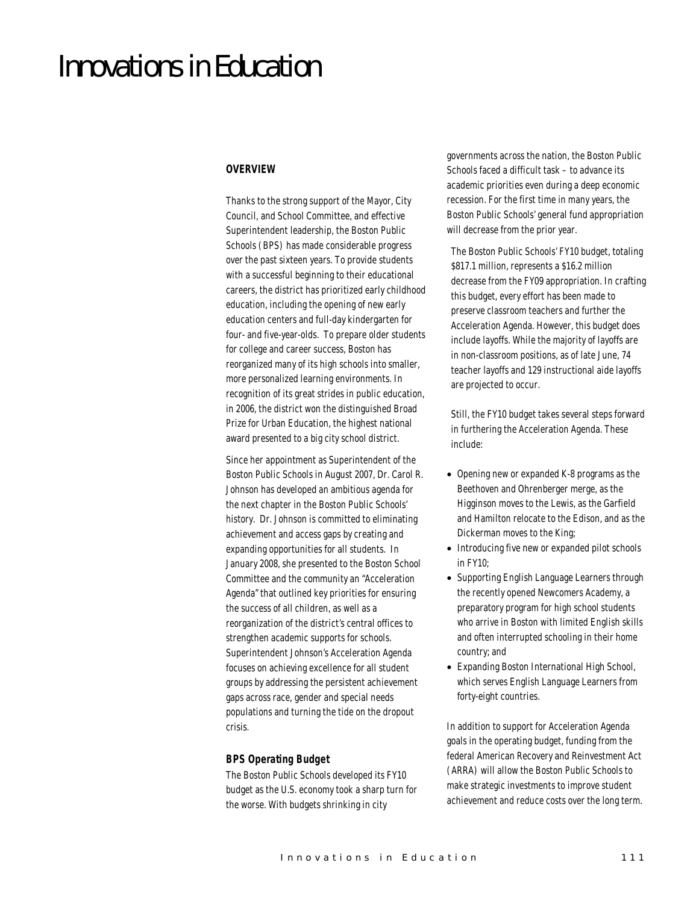# Innovations in Education

#### *OVERVIEW*

Thanks to the strong support of the Mayor, City Council, and School Committee, and effective Superintendent leadership, the Boston Public Schools (BPS) has made considerable progress over the past sixteen years. To provide students with a successful beginning to their educational careers, the district has prioritized early childhood education, including the opening of new early education centers and full-day kindergarten for four- and five-year-olds. To prepare older students for college and career success, Boston has reorganized many of its high schools into smaller, more personalized learning environments. In recognition of its great strides in public education, in 2006, the district won the distinguished Broad Prize for Urban Education, the highest national award presented to a big city school district.

Since her appointment as Superintendent of the Boston Public Schools in August 2007, Dr. Carol R. Johnson has developed an ambitious agenda for the next chapter in the Boston Public Schools' history. Dr. Johnson is committed to eliminating achievement and access gaps by creating and expanding opportunities for all students. In January 2008, she presented to the Boston School Committee and the community an "Acceleration Agenda" that outlined key priorities for ensuring the success of all children, as well as a reorganization of the district's central offices to strengthen academic supports for schools. Superintendent Johnson's Acceleration Agenda focuses on achieving excellence for all student groups by addressing the persistent achievement gaps across race, gender and special needs populations and turning the tide on the dropout crisis.

## *BPS Operating Budget*

The Boston Public Schools developed its FY10 budget as the U.S. economy took a sharp turn for the worse. With budgets shrinking in city

governments across the nation, the Boston Public Schools faced a difficult task – to advance its academic priorities even during a deep economic recession. For the first time in many years, the Boston Public Schools' general fund appropriation will decrease from the prior year.

The Boston Public Schools' FY10 budget, totaling \$817.1 million, represents a \$16.2 million decrease from the FY09 appropriation. In crafting this budget, every effort has been made to preserve classroom teachers and further the Acceleration Agenda. However, this budget does include layoffs. While the majority of layoffs are in non-classroom positions, as of late June, 74 teacher layoffs and 129 instructional aide layoffs are projected to occur.

Still, the FY10 budget takes several steps forward in furthering the Acceleration Agenda. These include:

- Opening new or expanded K-8 programs as the Beethoven and Ohrenberger merge, as the Higginson moves to the Lewis, as the Garfield and Hamilton relocate to the Edison, and as the Dickerman moves to the King;
- Introducing five new or expanded pilot schools in FY10;
- Supporting English Language Learners through the recently opened Newcomers Academy, a preparatory program for high school students who arrive in Boston with limited English skills and often interrupted schooling in their home country; and
- Expanding Boston International High School, which serves English Language Learners from forty-eight countries.

In addition to support for Acceleration Agenda goals in the operating budget, funding from the federal American Recovery and Reinvestment Act (ARRA) will allow the Boston Public Schools to make strategic investments to improve student achievement and reduce costs over the long term.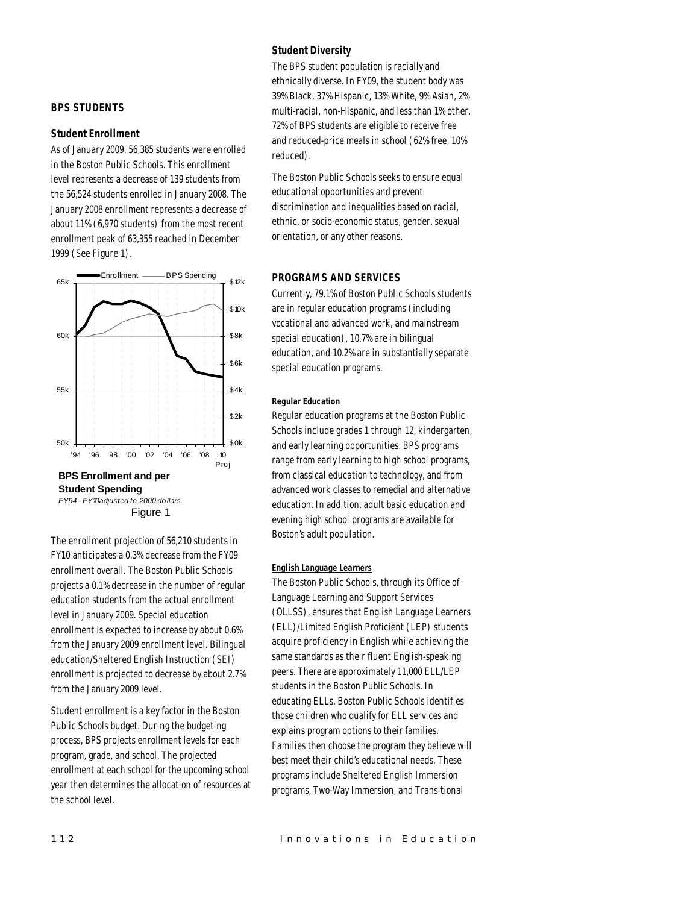## *Student Diversity*

The BPS student population is racially and ethnically diverse. In FY09, the student body was 39% Black, 37% Hispanic, 13% White, 9% Asian, 2% multi-racial, non-Hispanic, and less than 1% other. 72% of BPS students are eligible to receive free and reduced-price meals in school (62% free, 10% reduced).

The Boston Public Schools seeks to ensure equal educational opportunities and prevent discrimination and inequalities based on racial, ethnic, or socio-economic status, gender, sexual orientation, or any other reasons.

#### *PROGRAMS AND SERVICES*

Currently, 79.1% of Boston Public Schools students are in regular education programs (including vocational and advanced work, and mainstream special education), 10.7% are in bilingual education, and 10.2% are in substantially separate special education programs.

## *Regular Education*

Regular education programs at the Boston Public Schools include grades 1 through 12, kindergarten, and early learning opportunities. BPS programs range from early learning to high school programs, from classical education to technology, and from advanced work classes to remedial and alternative education. In addition, adult basic education and evening high school programs are available for Boston's adult population.

## *English Language Learners*

The Boston Public Schools, through its Office of Language Learning and Support Services (OLLSS), ensures that English Language Learners (ELL)/Limited English Proficient (LEP) students acquire proficiency in English while achieving the same standards as their fluent English-speaking peers. There are approximately 11,000 ELL/LEP students in the Boston Public Schools. In educating ELLs, Boston Public Schools identifies those children who qualify for ELL services and explains program options to their families. Families then choose the program they believe will best meet their child's educational needs. These programs include Sheltered English Immersion programs, Two-Way Immersion, and Transitional



#### *Student Enrollment*

As of January 2009, 56,385 students were enrolled in the Boston Public Schools. This enrollment level represents a decrease of 139 students from the 56,524 students enrolled in January 2008. The January 2008 enrollment represents a decrease of about 11% (6,970 students) from the most recent enrollment peak of 63,355 reached in December 1999 (See Figure 1).



The enrollment projection of 56,210 students in FY10 anticipates a 0.3% decrease from the FY09 enrollment overall. The Boston Public Schools projects a 0.1% decrease in the number of regular education students from the actual enrollment level in January 2009. Special education enrollment is expected to increase by about 0.6% from the January 2009 enrollment level. Bilingual education/Sheltered English Instruction (SEI) enrollment is projected to decrease by about 2.7% from the January 2009 level.

Student enrollment is a key factor in the Boston Public Schools budget. During the budgeting process, BPS projects enrollment levels for each program, grade, and school. The projected enrollment at each school for the upcoming school year then determines the allocation of resources at the school level.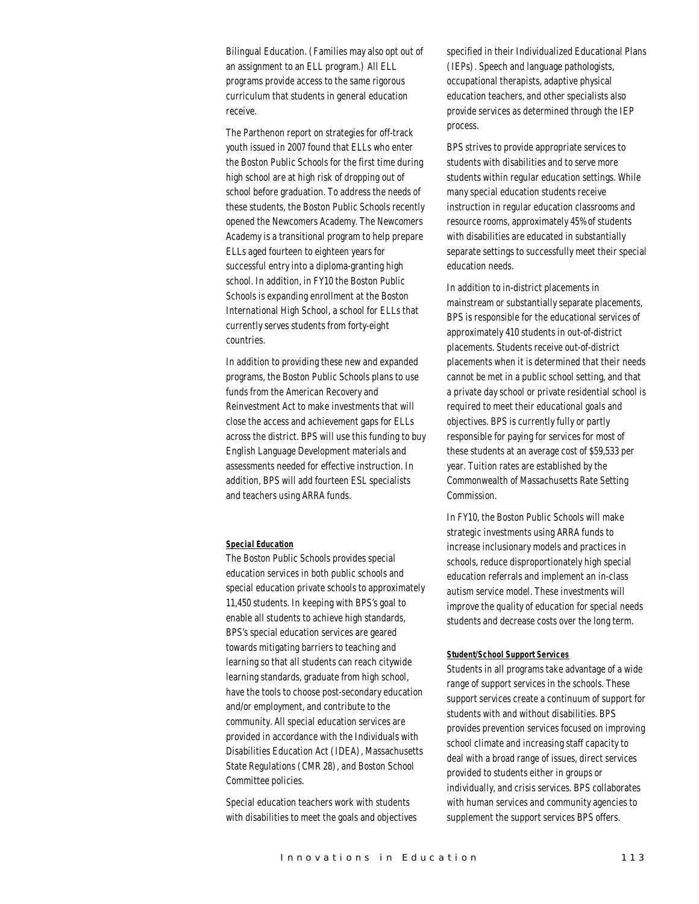Bilingual Education. (Families may also opt out of an assignment to an ELL program.) All ELL programs provide access to the same rigorous curriculum that students in general education receive.

The Parthenon report on strategies for off-track youth issued in 2007 found that ELLs who enter the Boston Public Schools for the first time during high school are at high risk of dropping out of school before graduation. To address the needs of these students, the Boston Public Schools recently opened the Newcomers Academy. The Newcomers Academy is a transitional program to help prepare ELLs aged fourteen to eighteen years for successful entry into a diploma-granting high school. In addition, in FY10 the Boston Public Schools is expanding enrollment at the Boston International High School, a school for ELLs that currently serves students from forty-eight countries.

In addition to providing these new and expanded programs, the Boston Public Schools plans to use funds from the American Recovery and Reinvestment Act to make investments that will close the access and achievement gaps for ELLs across the district. BPS will use this funding to buy English Language Development materials and assessments needed for effective instruction. In addition, BPS will add fourteen ESL specialists and teachers using ARRA funds.

#### *Special Education*

The Boston Public Schools provides special education services in both public schools and special education private schools to approximately 11,450 students. In keeping with BPS's goal to enable all students to achieve high standards, BPS's special education services are geared towards mitigating barriers to teaching and learning so that all students can reach citywide learning standards, graduate from high school, have the tools to choose post-secondary education and/or employment, and contribute to the community. All special education services are provided in accordance with the Individuals with Disabilities Education Act (IDEA), Massachusetts State Regulations (CMR 28), and Boston School Committee policies.

Special education teachers work with students with disabilities to meet the goals and objectives specified in their Individualized Educational Plans (IEPs). Speech and language pathologists, occupational therapists, adaptive physical education teachers, and other specialists also provide services as determined through the IEP process.

BPS strives to provide appropriate services to students with disabilities and to serve more students within regular education settings. While many special education students receive instruction in regular education classrooms and resource rooms, approximately 45% of students with disabilities are educated in substantially separate settings to successfully meet their special education needs.

In addition to in-district placements in mainstream or substantially separate placements, BPS is responsible for the educational services of approximately 410 students in out-of-district placements. Students receive out-of-district placements when it is determined that their needs cannot be met in a public school setting, and that a private day school or private residential school is required to meet their educational goals and objectives. BPS is currently fully or partly responsible for paying for services for most of these students at an average cost of \$59,533 per year. Tuition rates are established by the Commonwealth of Massachusetts Rate Setting Commission.

In FY10, the Boston Public Schools will make strategic investments using ARRA funds to increase inclusionary models and practices in schools, reduce disproportionately high special education referrals and implement an in-class autism service model. These investments will improve the quality of education for special needs students and decrease costs over the long term.

#### *Student/School Support Services*

Students in all programs take advantage of a wide range of support services in the schools. These support services create a continuum of support for students with and without disabilities. BPS provides prevention services focused on improving school climate and increasing staff capacity to deal with a broad range of issues, direct services provided to students either in groups or individually, and crisis services. BPS collaborates with human services and community agencies to supplement the support services BPS offers.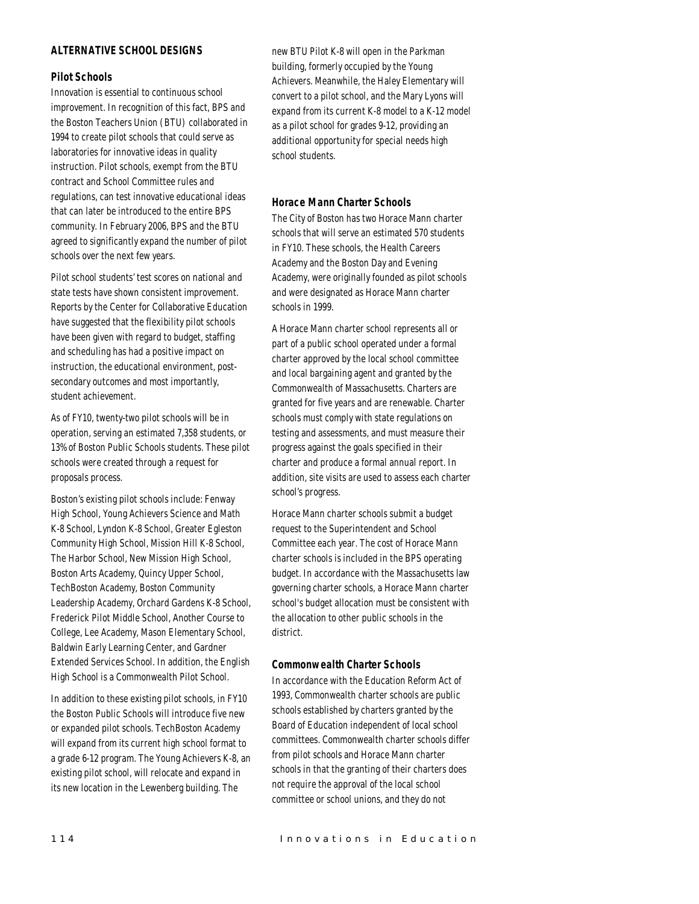# *ALTERNATIVE SCHOOL DESIGNS*

## *Pilot Schools*

Innovation is essential to continuous school improvement. In recognition of this fact, BPS and the Boston Teachers Union (BTU) collaborated in 1994 to create pilot schools that could serve as laboratories for innovative ideas in quality instruction. Pilot schools, exempt from the BTU contract and School Committee rules and regulations, can test innovative educational ideas that can later be introduced to the entire BPS community. In February 2006, BPS and the BTU agreed to significantly expand the number of pilot schools over the next few years.

Pilot school students' test scores on national and state tests have shown consistent improvement. Reports by the Center for Collaborative Education have suggested that the flexibility pilot schools have been given with regard to budget, staffing and scheduling has had a positive impact on instruction, the educational environment, postsecondary outcomes and most importantly, student achievement.

As of FY10, twenty-two pilot schools will be in operation, serving an estimated 7,358 students, or 13% of Boston Public Schools students. These pilot schools were created through a request for proposals process.

Boston's existing pilot schools include: Fenway High School, Young Achievers Science and Math K-8 School, Lyndon K-8 School, Greater Egleston Community High School, Mission Hill K-8 School, The Harbor School, New Mission High School, Boston Arts Academy, Quincy Upper School, TechBoston Academy, Boston Community Leadership Academy, Orchard Gardens K-8 School, Frederick Pilot Middle School, Another Course to College, Lee Academy, Mason Elementary School, Baldwin Early Learning Center, and Gardner Extended Services School. In addition, the English High School is a Commonwealth Pilot School.

In addition to these existing pilot schools, in FY10 the Boston Public Schools will introduce five new or expanded pilot schools. TechBoston Academy will expand from its current high school format to a grade 6-12 program. The Young Achievers K-8, an existing pilot school, will relocate and expand in its new location in the Lewenberg building. The

new BTU Pilot K-8 will open in the Parkman building, formerly occupied by the Young Achievers. Meanwhile, the Haley Elementary will convert to a pilot school, and the Mary Lyons will expand from its current K-8 model to a K-12 model as a pilot school for grades 9-12, providing an additional opportunity for special needs high school students.

## *Horace Mann Charter Schools*

The City of Boston has two Horace Mann charter schools that will serve an estimated 570 students in FY10. These schools, the Health Careers Academy and the Boston Day and Evening Academy, were originally founded as pilot schools and were designated as Horace Mann charter schools in 1999.

A Horace Mann charter school represents all or part of a public school operated under a formal charter approved by the local school committee and local bargaining agent and granted by the Commonwealth of Massachusetts. Charters are granted for five years and are renewable. Charter schools must comply with state regulations on testing and assessments, and must measure their progress against the goals specified in their charter and produce a formal annual report. In addition, site visits are used to assess each charter school's progress.

Horace Mann charter schools submit a budget request to the Superintendent and School Committee each year. The cost of Horace Mann charter schools is included in the BPS operating budget. In accordance with the Massachusetts law governing charter schools, a Horace Mann charter school's budget allocation must be consistent with the allocation to other public schools in the district.

#### *Commonwealth Charter Schools*

In accordance with the Education Reform Act of 1993, Commonwealth charter schools are public schools established by charters granted by the Board of Education independent of local school committees. Commonwealth charter schools differ from pilot schools and Horace Mann charter schools in that the granting of their charters does not require the approval of the local school committee or school unions, and they do not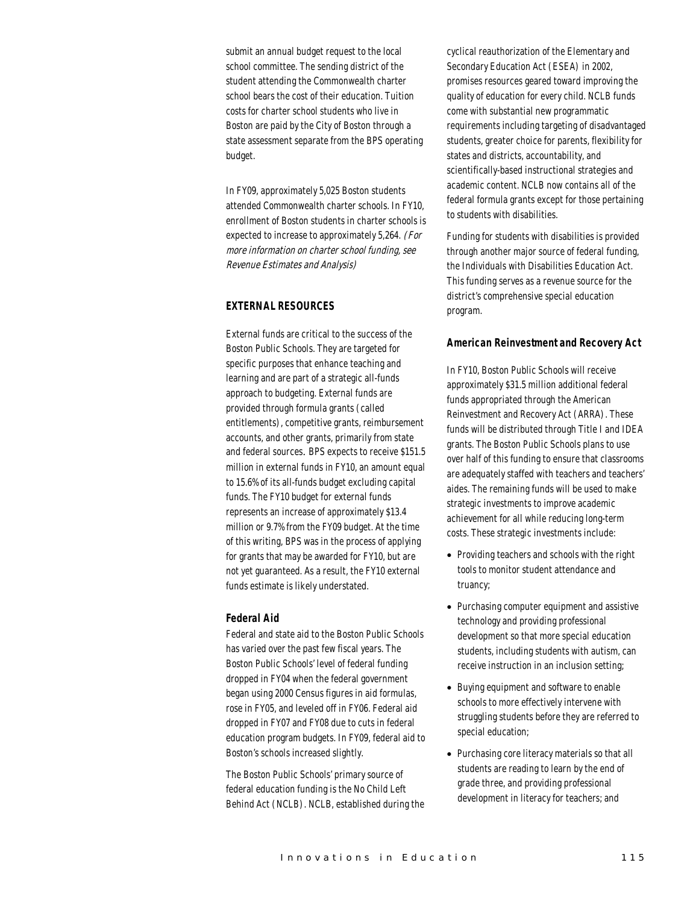submit an annual budget request to the local school committee. The sending district of the student attending the Commonwealth charter school bears the cost of their education. Tuition costs for charter school students who live in Boston are paid by the City of Boston through a state assessment separate from the BPS operating budget.

In FY09, approximately 5,025 Boston students attended Commonwealth charter schools. In FY10, enrollment of Boston students in charter schools is expected to increase to approximately 5,264. (For more information on charter school funding, see Revenue Estimates and Analysis)

## *EXTERNAL RESOURCES*

External funds are critical to the success of the Boston Public Schools. They are targeted for specific purposes that enhance teaching and learning and are part of a strategic all-funds approach to budgeting. External funds are provided through formula grants (called entitlements), competitive grants, reimbursement accounts, and other grants, primarily from state and federal sources. BPS expects to receive \$151.5 million in external funds in FY10, an amount equal to 15.6% of its all-funds budget excluding capital funds. The FY10 budget for external funds represents an increase of approximately \$13.4 million or 9.7% from the FY09 budget. At the time of this writing, BPS was in the process of applying for grants that may be awarded for FY10, but are not yet guaranteed. As a result, the FY10 external funds estimate is likely understated.

## *Federal Aid*

Federal and state aid to the Boston Public Schools has varied over the past few fiscal years. The Boston Public Schools' level of federal funding dropped in FY04 when the federal government began using 2000 Census figures in aid formulas, rose in FY05, and leveled off in FY06. Federal aid dropped in FY07 and FY08 due to cuts in federal education program budgets. In FY09, federal aid to Boston's schools increased slightly.

The Boston Public Schools' primary source of federal education funding is the No Child Left Behind Act (NCLB). NCLB, established during the

cyclical reauthorization of the Elementary and Secondary Education Act (ESEA) in 2002, promises resources geared toward improving the quality of education for every child. NCLB funds come with substantial new programmatic requirements including targeting of disadvantaged students, greater choice for parents, flexibility for states and districts, accountability, and scientifically-based instructional strategies and academic content. NCLB now contains all of the federal formula grants except for those pertaining to students with disabilities.

Funding for students with disabilities is provided through another major source of federal funding, the Individuals with Disabilities Education Act. This funding serves as a revenue source for the district's comprehensive special education program.

## *American Reinvestment and Recovery Act*

In FY10, Boston Public Schools will receive approximately \$31.5 million additional federal funds appropriated through the American Reinvestment and Recovery Act (ARRA). These funds will be distributed through Title I and IDEA grants. The Boston Public Schools plans to use over half of this funding to ensure that classrooms are adequately staffed with teachers and teachers' aides. The remaining funds will be used to make strategic investments to improve academic achievement for all while reducing long-term costs. These strategic investments include:

- Providing teachers and schools with the right tools to monitor student attendance and truancy;
- Purchasing computer equipment and assistive technology and providing professional development so that more special education students, including students with autism, can receive instruction in an inclusion setting;
- Buying equipment and software to enable schools to more effectively intervene with struggling students before they are referred to special education;
- Purchasing core literacy materials so that all students are reading to learn by the end of grade three, and providing professional development in literacy for teachers; and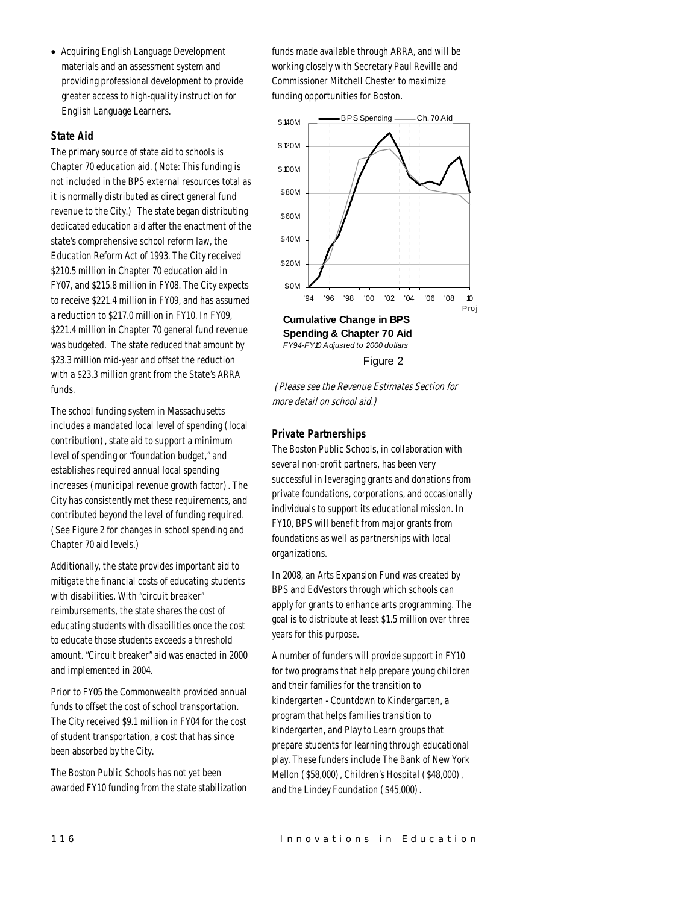• Acquiring English Language Development materials and an assessment system and providing professional development to provide greater access to high-quality instruction for English Language Learners.

#### *State Aid*

The primary source of state aid to schools is Chapter 70 education aid. (Note: This funding is not included in the BPS external resources total as it is normally distributed as direct general fund revenue to the City.) The state began distributing dedicated education aid after the enactment of the state's comprehensive school reform law, the Education Reform Act of 1993. The City received \$210.5 million in Chapter 70 education aid in FY07, and \$215.8 million in FY08. The City expects to receive \$221.4 million in FY09, and has assumed a reduction to \$217.0 million in FY10. In FY09, \$221.4 million in Chapter 70 general fund revenue was budgeted. The state reduced that amount by \$23.3 million mid-year and offset the reduction with a \$23.3 million grant from the State's ARRA funds.

The school funding system in Massachusetts includes a mandated local level of spending (local contribution), state aid to support a minimum level of spending or "foundation budget," and establishes required annual local spending increases (municipal revenue growth factor). The City has consistently met these requirements, and contributed beyond the level of funding required. (See Figure 2 for changes in school spending and Chapter 70 aid levels.)

Additionally, the state provides important aid to mitigate the financial costs of educating students with disabilities. With "circuit breaker" reimbursements, the state shares the cost of educating students with disabilities once the cost to educate those students exceeds a threshold amount. "Circuit breaker" aid was enacted in 2000 and implemented in 2004.

Prior to FY05 the Commonwealth provided annual funds to offset the cost of school transportation. The City received \$9.1 million in FY04 for the cost of student transportation, a cost that has since been absorbed by the City.

The Boston Public Schools has not yet been awarded FY10 funding from the state stabilization funds made available through ARRA, and will be working closely with Secretary Paul Reville and Commissioner Mitchell Chester to maximize funding opportunities for Boston.



*FY94-FY10 Adjusted to 2000 dollars*

Figure 2

(Please see the Revenue Estimates Section for more detail on school aid.)

## *Private Partnerships*

The Boston Public Schools, in collaboration with several non-profit partners, has been very successful in leveraging grants and donations from private foundations, corporations, and occasionally individuals to support its educational mission. In FY10, BPS will benefit from major grants from foundations as well as partnerships with local organizations.

In 2008, an Arts Expansion Fund was created by BPS and EdVestors through which schools can apply for grants to enhance arts programming. The goal is to distribute at least \$1.5 million over three years for this purpose.

A number of funders will provide support in FY10 for two programs that help prepare young children and their families for the transition to kindergarten - Countdown to Kindergarten, a program that helps families transition to kindergarten, and Play to Learn groups that prepare students for learning through educational play. These funders include The Bank of New York Mellon (\$58,000), Children's Hospital (\$48,000), and the Lindey Foundation (\$45,000).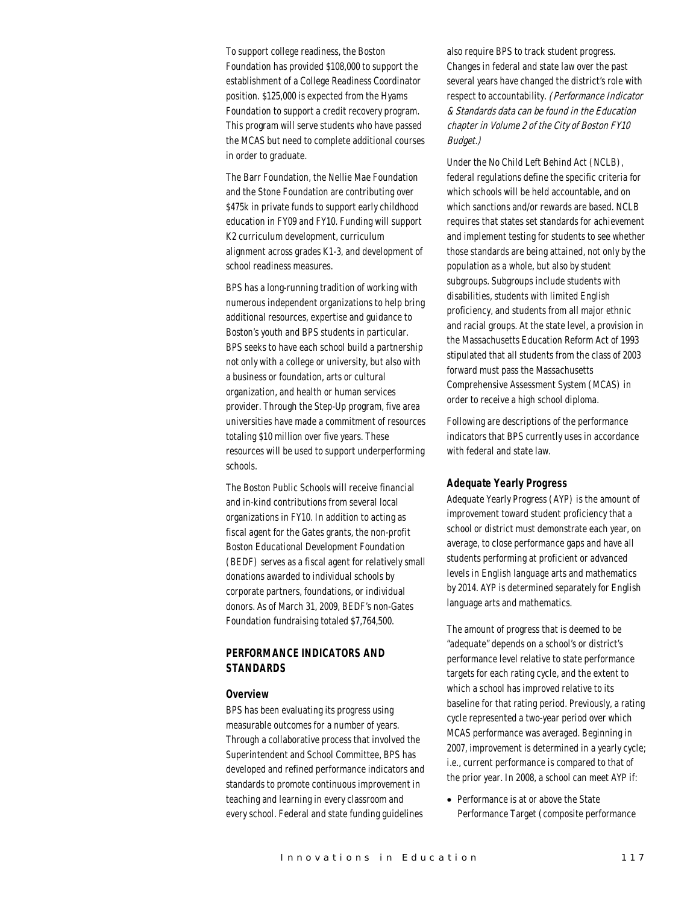To support college readiness, the Boston Foundation has provided \$108,000 to support the establishment of a College Readiness Coordinator position. \$125,000 is expected from the Hyams Foundation to support a credit recovery program. This program will serve students who have passed the MCAS but need to complete additional courses in order to graduate.

The Barr Foundation, the Nellie Mae Foundation and the Stone Foundation are contributing over \$475k in private funds to support early childhood education in FY09 and FY10. Funding will support K2 curriculum development, curriculum alignment across grades K1-3, and development of school readiness measures.

BPS has a long-running tradition of working with numerous independent organizations to help bring additional resources, expertise and guidance to Boston's youth and BPS students in particular. BPS seeks to have each school build a partnership not only with a college or university, but also with a business or foundation, arts or cultural organization, and health or human services provider. Through the Step-Up program, five area universities have made a commitment of resources totaling \$10 million over five years. These resources will be used to support underperforming schools.

The Boston Public Schools will receive financial and in-kind contributions from several local organizations in FY10. In addition to acting as fiscal agent for the Gates grants, the non-profit Boston Educational Development Foundation (BEDF) serves as a fiscal agent for relatively small donations awarded to individual schools by corporate partners, foundations, or individual donors. As of March 31, 2009, BEDF's non-Gates Foundation fundraising totaled \$7,764,500.

# *PERFORMANCE INDICATORS AND STANDARDS*

#### *Overview*

BPS has been evaluating its progress using measurable outcomes for a number of years. Through a collaborative process that involved the Superintendent and School Committee, BPS has developed and refined performance indicators and standards to promote continuous improvement in teaching and learning in every classroom and every school. Federal and state funding guidelines

also require BPS to track student progress. Changes in federal and state law over the past several years have changed the district's role with respect to accountability. (Performance Indicator & Standards data can be found in the Education chapter in Volume 2 of the City of Boston FY10 Budget.)

Under the No Child Left Behind Act (NCLB), federal regulations define the specific criteria for which schools will be held accountable, and on which sanctions and/or rewards are based. NCLB requires that states set standards for achievement and implement testing for students to see whether those standards are being attained, not only by the population as a whole, but also by student subgroups. Subgroups include students with disabilities, students with limited English proficiency, and students from all major ethnic and racial groups. At the state level, a provision in the Massachusetts Education Reform Act of 1993 stipulated that all students from the class of 2003 forward must pass the Massachusetts Comprehensive Assessment System (MCAS) in order to receive a high school diploma.

Following are descriptions of the performance indicators that BPS currently uses in accordance with federal and state law.

## *Adequate Yearly Progress*

Adequate Yearly Progress (AYP) is the amount of improvement toward student proficiency that a school or district must demonstrate each year, on average, to close performance gaps and have all students performing at proficient or advanced levels in English language arts and mathematics by 2014. AYP is determined separately for English language arts and mathematics.

The amount of progress that is deemed to be "adequate" depends on a school's or district's performance level relative to state performance targets for each rating cycle, and the extent to which a school has improved relative to its baseline for that rating period. Previously, a rating cycle represented a two-year period over which MCAS performance was averaged. Beginning in 2007, improvement is determined in a yearly cycle; i.e., current performance is compared to that of the prior year. In 2008, a school can meet AYP if:

• Performance is at or above the State Performance Target (composite performance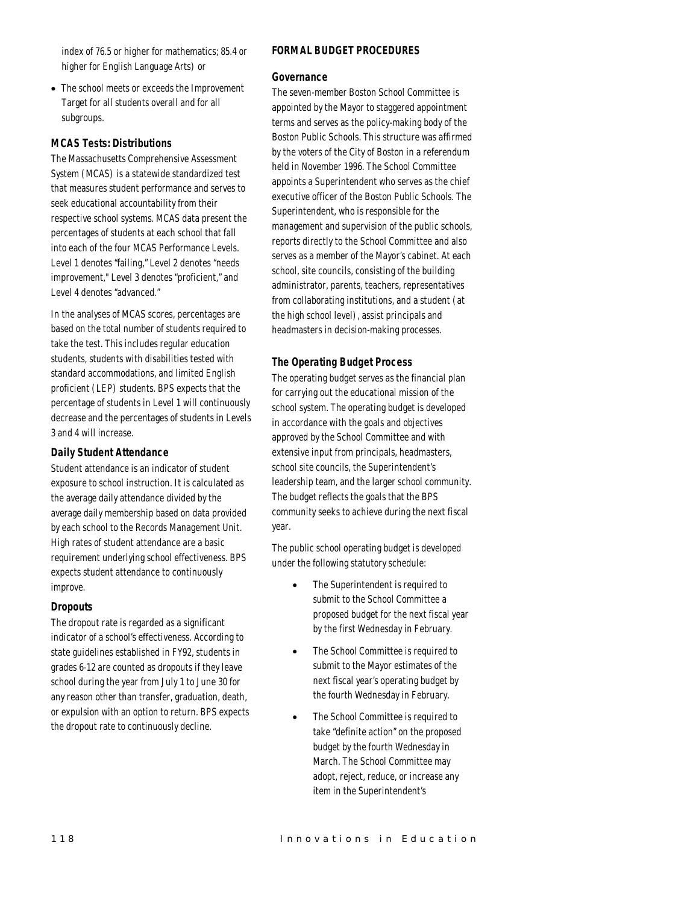index of 76.5 or higher for mathematics; 85.4 or higher for English Language Arts) or

• The school meets or exceeds the Improvement Target for all students overall and for all subgroups.

## *MCAS Tests: Distributions*

The Massachusetts Comprehensive Assessment System (MCAS) is a statewide standardized test that measures student performance and serves to seek educational accountability from their respective school systems. MCAS data present the percentages of students at each school that fall into each of the four MCAS Performance Levels. Level 1 denotes "failing," Level 2 denotes "needs improvement," Level 3 denotes "proficient," and Level 4 denotes "advanced."

In the analyses of MCAS scores, percentages are based on the total number of students required to take the test. This includes regular education students, students with disabilities tested with standard accommodations, and limited English proficient (LEP) students. BPS expects that the percentage of students in Level 1 will continuously decrease and the percentages of students in Levels 3 and 4 will increase.

# *Daily Student Attendance*

Student attendance is an indicator of student exposure to school instruction. It is calculated as the average daily attendance divided by the average daily membership based on data provided by each school to the Records Management Unit. High rates of student attendance are a basic requirement underlying school effectiveness. BPS expects student attendance to continuously improve.

## *Dropouts*

The dropout rate is regarded as a significant indicator of a school's effectiveness. According to state guidelines established in FY92, students in grades 6-12 are counted as dropouts if they leave school during the year from July 1 to June 30 for any reason other than transfer, graduation, death, or expulsion with an option to return. BPS expects the dropout rate to continuously decline.

# *FORMAL BUDGET PROCEDURES*

## *Governance*

The seven-member Boston School Committee is appointed by the Mayor to staggered appointment terms and serves as the policy-making body of the Boston Public Schools. This structure was affirmed by the voters of the City of Boston in a referendum held in November 1996. The School Committee appoints a Superintendent who serves as the chief executive officer of the Boston Public Schools. The Superintendent, who is responsible for the management and supervision of the public schools, reports directly to the School Committee and also serves as a member of the Mayor's cabinet. At each school, site councils, consisting of the building administrator, parents, teachers, representatives from collaborating institutions, and a student (at the high school level), assist principals and headmasters in decision-making processes.

# *The Operating Budget Process*

The operating budget serves as the financial plan for carrying out the educational mission of the school system. The operating budget is developed in accordance with the goals and objectives approved by the School Committee and with extensive input from principals, headmasters, school site councils, the Superintendent's leadership team, and the larger school community. The budget reflects the goals that the BPS community seeks to achieve during the next fiscal year.

The public school operating budget is developed under the following statutory schedule:

- The Superintendent is required to submit to the School Committee a proposed budget for the next fiscal year by the first Wednesday in February.
- The School Committee is required to submit to the Mayor estimates of the next fiscal year's operating budget by the fourth Wednesday in February.
- The School Committee is required to take "definite action" on the proposed budget by the fourth Wednesday in March. The School Committee may adopt, reject, reduce, or increase any item in the Superintendent's